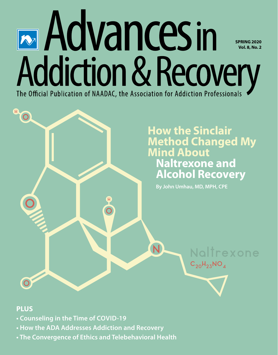# **E** Advances in **SPRING 2020 Vol. 8, No. 2 Addiction & Recovery** The Official Publication of NAADAC, the Association for Addiction Professionals



**How the Sinclair Method Changed My Mind About Naltrexone and Alcohol Recovery**

**By John Umhau, MD, MPH, CPE**



# **PLUS**

- **Counseling in the Time of COVID-19**
- **How the ADA Addresses Addiction and Recovery**
- **The Convergence of Ethics and Telebehavioral Health**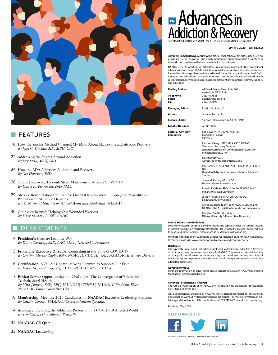

# ■ FEATURES

- 16 How the Sinclair Method Changed My Mind About Naltrexone and Alcohol Recovery *By John C. Umhau, MD, MPH, CPE*
- 22 Addressing the Stigma Around Addiction *By Jack Stein, MSW, PhD*
- 24 How the ADA Addresses Addiction and Recovery *By Oce Harrison, EdD*
- 28 Support Recovery Through Stress Management Around COVID-19 *By Nancy A. Piotrowski, PhD, MAC*
- 29 Alcohol Rehabilitation Can Reduce Hospital Readmission, Relapse, and Mortality in Patients with Alcoholic Hepatitis *By the National Institute on Alcohol Abuse and Alcoholism (NIAAA)*
- 30 Counselor Relapse: Helping Our Wounded Warriors *By Mark Sanders, LCSW, CADC*

# **DEPARTMENTS**

- 4 **President's Corner:** Lead the Way *By Diane Sevening, EdD, LAC, MAC, NAADAC President*
- 5 **From The Executive Director:** Counseling in the Time of COVID-19 *By Cynthia Moreno Tuohy, BSW, NCAC II, CDC III, SAP, NAADAC Executive Director*
- 6 **Certification:** NCC AP Update: Moving Forward to Support Our Field *By James "Kansas" Cafferty, LMFT, NCAAC, NCC AP Chair*
- 7 **Ethics:** Service Opportunities and Challenges: The Convergence of Ethics and Telebehavioral Health *By Mita Johnson, EdD, LPC, MAC, SAP, CTHP II, NAADAC President-Elect, NAADAC Ethics Committee Chair*
- 10 **Membership:** Meet the 2020 Candidates for NAADAC Executive Leadership Positions *By Caitlin Corbett, NAADAC Communications Specialist*
- 14 **Advocacy:** Elevating the Addiction Profession in a COVID-19 Affected World *By Tim Casey, Policy Advisor, Polsinelli*

# 32 **NAADAC CE Quiz**

33 **NAADAC Leadership**

# **Advances** in liction & Recovery

### **SPRING 2020 Vol. 8 No. 2**

*Advances in Addiction & Recovery,* the official publication of NAADAC, is focused on providing useful, innovative, and timely information on trends and best practices in the addiction profession that are beneficial for practitioners.

NAADAC, the Association for Addiction Professionals, represents the professional interests of more than 100,000 addiction counselors, educators, and other addictionfocused health care professionals in the United States, Canada, and abroad. NAADAC's members are addiction counselors, educators, and other addiction-focused health care professionals, who specialize in addiction prevention, treatment, recovery support, and education.

| <b>Mailing Address</b><br>Telephone<br>Email<br>Fax | 44 Canal Center Plaza, Suite 301<br>Alexandria, VA 22314<br>703.741.7686<br>naadac@naadac.org<br>703.741.7698                                               |
|-----------------------------------------------------|-------------------------------------------------------------------------------------------------------------------------------------------------------------|
| Managing Editor                                     | Kristin Hamilton, JD                                                                                                                                        |
| Advisor                                             | Jessica Gleason, JD                                                                                                                                         |
| Features Editor                                     | Samson Teklemariam, MA, LPC, CPTM                                                                                                                           |
| Graphic Designer                                    | <b>Austin Stahl</b>                                                                                                                                         |
| <b>Editorial Advisory</b><br>Committee              | Kirk Bowden, PhD, MAC, NCC, LPC<br>Rio Salado College<br><b>FAC Chair</b>                                                                                   |
|                                                     | Kansas Cafferty, LMFT, MCA, CATC, NCAAC<br><b>True North Recovery Services</b><br>National Certification Commission for Addiction<br>Professionals (NCC AP) |
|                                                     | Deann Jepson, MS<br>Advocates for Human Potential, Inc.                                                                                                     |
|                                                     | Roy Kammer, EdD, LADC, ADCR-MN, CPPR, LPC (CD),<br><b>NCC</b><br>Hazelden Betty Ford Graduate School of Addiction<br>Studies                                |
|                                                     | James McKenna, MEd, LADC I<br>McKenna Recovery Associates                                                                                                   |
|                                                     | Donald P. Osborn, PhD, LCSW, LMFT, LCAC, MAC<br>Indiana Wesleyan University                                                                                 |
|                                                     | Joseph Rosenfeld, PsyD, CRADC, HS-BCP<br><b>Elgin Community College</b>                                                                                     |
|                                                     | Cynthia Moreno Tuohy, BSW, NCAC II, CDC III, SAP<br>NAADAC, the Association for Addiction Professionals                                                     |
|                                                     | Margaret Smith, EdD, MLADC<br>Ottawa University & Keene State University                                                                                    |

#### **Article Submission Guidelines**

We are interested in accepting any interesting and topical articles that address issues of interest to addiction-focused professionals. Please submit story ideas and/or articles to Features Editor, Samson Teklemariam at [steklemariam@naadac.org.](mailto:steklemariam@naadac.org)

For more information on submitting articles for inclusion in *Advances in Addiction & Recovery*, please visit [www.naadac.org/advances-in-addiction-recovery](http://www.naadac.org/advancesinaddictionrecovery#Publication_Guidelines).

#### **Disclaimer**

**Telepho** 

**Managin Advisor** 

**Graphic** 

**Commit** 

It is expressly understood that articles published in *Advances in Addiction & Recovery* do not necessarily represent the view of NAADAC. The views expressed and the accuracy of the information on which they are based are the responsibility of the author(s) and represent the wide diversity of thought and opinion within the addiction profession.

#### **Advertise With Us**

For more information on advertising, please contact Irina Vayner, NAADAC Marketing Manager, at [ivayner@naadac.org](mailto:ivayner@naadac.org).

*Advances in Addiction & Recovery* The Official Publication of NAADAC, the Association for Addiction Professionals ISBN: 978-0-9885247-0-5

This publication was prepared by NAADAC, the Association for Addiction Professionals. Reproduction without written permission is prohibited. For more information on obtaining additional copies of this publication, call 703.741.7686 or visit [www.naadac.org.](http://www.naadac.org)

Published May 2020

#### **STAY CONNECTED**

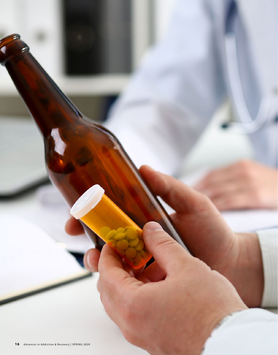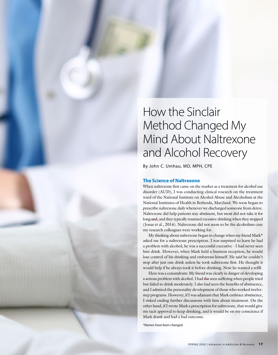# How the Sinclair Method Changed My Mind About Naltrexone and Alcohol Recovery

By John C. Umhau, MD, MPH, CPE

# **The Science of Naltrexone**

When naltrexone first came on the market as a treatment for alcohol use disorder (AUD), I was conducting clinical research on the treatment ward of the National Institute on Alcohol Abuse and Alcoholism at the National Institutes of Health in Bethesda, Maryland. We soon began to prescribe naltrexone daily whenever we discharged someone from detox. Naltrexone did help patients stay abstinent, but most did not take it for long and, and they typically resumed excessive drinking when they stopped (Jonas et al., 2014). Naltrexone did not seem to be the alcoholism cure my research colleagues were working for.

My thinking about naltrexone began to change when my friend Mark\* asked me for a naltrexone prescription. I was surprised to learn he had a problem with alcohol; he was a successful executive - I had never seen him drink. However, when Mark held a business reception, he would lose control of his drinking and embarrass himself. He said he couldn't stop after just one drink unless he took naltrexone first. He thought it would help if he always took it before drinking. Now he wanted a refill.

Here was a conundrum: My friend was clearly in danger of developing a serious problem with alcohol. I had the seen suffering when people tried but failed to drink moderately. I also had seen the benefits of abstinence, and I admired the personality development of those who worked twelvestep programs. However, if I was adamant that Mark embrace abstinence, I risked ending further discussions with him about treatment. On the other hand, if I wrote Mark a prescription for naltrexone, that would give my tacit approval to keep drinking, and it would be on my conscience if Mark drank and had a bad outcome.

*\*Names have been changed.*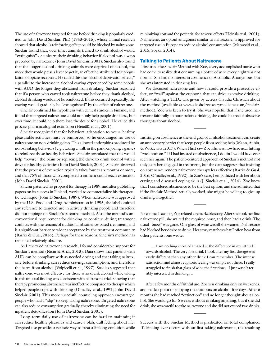The use of naltrexone targeted for use before drinking is popularly credited to John David Sinclair, PhD (1943–2015), whose animal research showed that alcohol's reinforcing effect could be blocked by naltrexone. Sinclair found that, over time, animals trained to drink alcohol would "extinguish" or unlearn their drinking behavior if alcohol was always preceded by naltrexone (John David Sinclair, 2001). Sinclair also found that the longer alcohol-drinking animals were deprived of alcohol, the more they would press a lever to get it, an effect he attributed to upregulation of opiate receptors. He called this the "alcohol deprivation effect," a parallel to the increase in alcohol craving experienced by some people with AUD the longer they abstained from drinking. Sinclair reasoned that if a person who craved took naltrexone before they drank alcohol, alcohol drinking would not be reinforced. If this occurred repeatedly, the craving would gradually be "extinguished" by the effect of naltrexone.

Sinclair confirmed his hypothesis with clinical studies in Finland, and found that targeted naltrexone could not only help people drink less, but over time, it could help them lose the desire for alcohol. He called this process pharmacological extinction (Heinälä et al., 2001).

Sinclair recognized that for behavioral adaptation to occur, healthy pleasurable activities must be reinforced, so he encouraged no use of naltrexone on non-drinking days. This allowed endorphins produced by non-drinking behaviors (e.g., taking a walk in the park, enjoying a game) to reinforce those healthy behaviors. Sinclair postulated that this would help "rewire" the brain by replacing the drive to drink alcohol with a drive for healthy activities (John David Sinclair, 2001). Sinclair observed that the process of extinction typically takes four to six months or more, and that 78% of those who completed treatment could reach extinction (John David Sinclair, 2001).

Sinclair patented his proposal for therapy in 1989, and after publishing papers on its success in Finland, worked to commercialize his therapeutic technique (John D Sinclair, 1989). When naltrexone was approved by the U.S. Food and Drug Administration in 1995, the label omitted any reference to targeted use in actively drinking people and therefore did not impinge on Sinclair's patented method. Also, the method's unconventional requirement for drinking to continue during treatment conflicts with the tenants of traditional abstinence-based treatment, and is a significant barrier to wider acceptance by the treatment community (Barrio & Gual, 2016). Perhaps for these reasons, Sinclair's method has remained relatively obscure.

As I reviewed naltrexone research, I found considerable support for Sinclair's method (Niciu & Arias, 2013). Data shows that patients with AUD can be compliant with as-needed dosing and that taking naltrexone before drinking can reduce craving, consumption, and therefore the harm from alcohol (Volpicelli et al., 1997). Studies suggested that naltrexone was most effective for those who drank alcohol while taking it; this unusual finding was consistent with naltrexone trials showing that therapy promoting abstinence was ineffective compared to therapy which helped people cope with drinking (O'malley et al., 1992; John David Sinclair, 2001). This more successful counseling approach encouraged people who had a "slip" to keep taking naltrexone. Targeted naltrexone can also reduce consumption gradually, thereby eliminating the need for inpatient detoxification (John David Sinclair, 2001).

Long-term daily use of naltrexone can be hard to maintain; it can reduce healthy pleasures and cause a blah, dull feeling about life. Targeted use provides a realistic way to treat a lifelong condition while minimizing cost and the potential for adverse effects (Heinälä et al., 2001). Nalmefene, an opioid antagonist similar to naltrexone, is approved for targeted use in Europe to reduce alcohol consumption (Marazziti et al., 2015; Soyka, 2014).

### **Talking to Patients About Naltrexone**

I first tried the Sinclair Method with Zoe, a very accomplished nurse who had come to realize that consuming a bottle of wine every night was not normal. She had no interest in abstinence or Alcoholics Anonymous, but she was interested in drinking less.

We discussed naltrexone and how it could provide a protective effect, or "wall" against the euphoria that can drive excessive drinking. After watching a TEDx talk given by actress Claudia Christian about the method (available at [www.alcoholrecoverymedicine.com/sinclair](http://www.alcoholrecoverymedicine.com/sinclair-method)[method](http://www.alcoholrecoverymedicine.com/sinclair-method)), Zoe was keen to try it. She was hopeful that if she used naltrexone faithfully an hour before drinking, she could be free of obsessive thoughts about alcohol.

———

Insisting on abstinence as the end goal of all alcohol treatment can create an unnecessary barrier that keeps people from seeking help (Mann, Aubin, & Witkiewitz, 2017). When I first saw Zoe, she was nowhere near hitting "rock bottom." If I had insisted on abstinence, I doubt I would have ever seen her again. The patient-centered approach of Sinclair's method not only kept her engaged in treatment, but the data suggests that insisting on abstinence renders naltrexone therapy less effective (Barrio & Gual, 2016; O'malley et al., 1992). In Zoe's case, I empathized with her about craving and discussed coping skills (J. Sinclair et al., 2014). Zoe knew that I considered abstinence to be the best option, and she admitted that if the Sinclair Method actually worked, she might be willing to give up drinking altogether.

Next time I saw her, Zoe related a remarkable story. After she took her first naltrexone pill, she waited the required hour, and then had a drink. The usual "buzz" was gone. One glass of wine was all she wanted. Naltrexone had blocked her desire to drink. Her story matches what I often hear from other patients; one wrote:

———

… I am nothing short of amazed at the difference in my attitude towards alcohol. The very first drink I took after my first dosage was vastly different than any other drink I can remember. The intense satisfaction and almost euphoric feeling was simply not there. I really struggled to finish that glass of wine the first time—I just wasn't terribly interested in drinking it.

After a few months of faithful use, Zoe was drinking only on weekends, and made a point of enjoying the outdoors on alcohol-free days. After 6 months she had reached "extinction" and no longer thought about alcohol. She would go for 6 weeks without drinking anything, but if she did drink, she was careful to take naltrexone and she did not exceed two drinks.

Success with the Sinclair Method is predicated on total compliance. If drinking ever occurs without first taking naltrexone, the resulting

———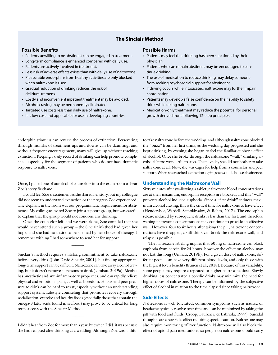# **The Sinclair Method**

# **Possible Benefits**

- Patients unwilling to be abstinent can be engaged in treatment.
- Long-term compliance is enhanced compared with daily use.
- Patients are actively involved in treatment.
- Less risk of adverse effects exists than with daily use of naltrexone.
- Pleasurable endorphins from healthy activities are only blocked when naltrexone is used.
- Gradual reduction of drinking reduces the risk of delirium-tremens.
- Costly and inconvenient inpatient treatment may be avoided.
- Alcohol craving may be permanently eliminated.
- Targeted use costs less than daily use of naltrexone.
- It is low cost and applicable for use in developing countries.

### **Possible Harms**

- Patients may feel that drinking has been sanctioned by their physician.
- Patients who can remain abstinent may be encouraged to continue drinking.
- The use of medication to reduce drinking may delay someone from seeking psychosocial support for abstinence.
- If driving occurs while intoxicated, naltrexone may further impair coordination.
- Patients may develop a false confidence on their ability to safety drink while taking naltrexone.
- Medication-only treatment may reduce the potential for personal growth derived from following 12-step principles.

endorphin stimulus can reverse the process of extinction. Persevering through months of treatment ups and downs can be daunting, and without frequent encouragement, many will give up without reaching extinction. Keeping a daily record of drinking can help promote compliance, especially for the segment of patients who do not have dramatic response to naltrexone.

Once, I pulled one of our alcohol counselors into the exam room to hear Zoe's story firsthand.

———

I could feel Zoe's excitement as she shared her story, but my colleague did not seem to understand extinction or the progress Zoe experienced. The elephant in the room was our programmatic requirement for abstinence. My colleague invited Zoe to join a support group, but was careful to explain that the group would not condone any drinking.

Once the counselor left, and we were alone, Zoe confided that she would never attend such a group – the Sinclair Method had given her hope, and she had no desire to be shamed by her choice of therapy. I remember wishing I had somewhere to send her for support.

———

Sinclair's method requires a lifelong commitment to take naltrexone before every drink (John David Sinclair, 2001), but finding appropriate long-term support can be difficult. Naltrexone can take away alcohol craving, but it doesn't remove all reasons to drink (Umhau, 2019a). Alcohol has anesthetic and anti-inflammatory properties, and can rapidly relieve physical and emotional pain, as well as boredom. Habits and peer pressure to drink can be hard to resist, especially without an understanding support system. Lifestyle counseling that promotes recovery through socialization, exercise and healthy foods (especially those that contain the omega-3 fatty acids found in seafood) may prove to be critical for long term success with the Sinclair Method.

I didn't hear from Zoe for more than a year, but when I did, it was because she had relapsed after drinking at a wedding. Although Zoe was faithful

———

to take naltrexone before the wedding, and although naltrexone blocked the "buzz" from her first drink, as the wedding day progressed and she kept drinking, by evening she began to feel the familiar euphoric effect of alcohol. Once she broke through the naltrexone "wall," drinking alcohol felt too wonderful to stop. The next day she did not bother to take naltrexone at all. Now, she was eager for help from a counselor and peer support. When she reached extinction again, she would choose abstinence.

### **Understanding the Naltrexone Wall**

Sixty minutes after swallowing a tablet, naltrexone blood concentrations are at their maximum, endorphin receptors are blocked, and this "wall" prevents alcohol induced euphoria. Since a "first drink" induces maximum alcohol craving, this is the critical time for naltrexone to have effect (Hendershot, Wardell, Samokhvalov, & Rehm, 2017). The endorphin release induced by subsequent drinks is less than the first, and therefore waning naltrexone concentrations may continue to provide an effective wall. However, four to six hours after taking the pill, naltrexone concentrations have dropped, a stiff drink can break the naltrexone wall, and relapse is possible.

The naltrexone labeling implies that 50 mg of naltrexone can block euphoria from heroin for 24 hours, however the effect on alcohol may not last this long (Umhau, 2019b). For a given dose of naltrexone, different people can have very different blood levels, and only those with the highest levels benefit (Brünen et al., 2018). Because of this variability, some people may require a repeated or higher naltrexone dose. Slowly drinking less concentrated alcoholic drinks may minimize the need for higher doses of naltrexone. Therapy can be informed by the subjective effect of alcohol in relation to the time elapsed since taking naltrexone.

# **Side Effects**

Naltrexone is well tolerated; common symptoms such as nausea or headache typically resolve over time and can be minimized by taking the pill with food and fluids (Croop, Faulkner, & Labriola, 1997). Suicidal thoughts are a rare side-effect requiring special caution. Naltrexone may also require monitoring of liver function. Naltrexone will also block the effect of opioid pain medications, so people on naltrexone should carry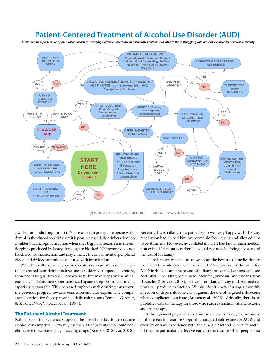# **Patient-Centered Treatment of Alcohol Use Disorder (AUD)**

*This flow chart represents one potential approach to providing evidence-based care and illustrates options available to those struggling with alcohol use disorder of variable severity.*



a wallet card indicating this fact. Naltrexone can precipitate opiate withdrawal in the chronic opioid user; it is possible that daily drinkers develop a milder but analogous situation when they begin naltrexone and the endorphins produced by heavy drinking are blocked. Naltrexone does not block alcohol intoxication, and may enhance the impairment of peripheral vision and divided attention associated with intoxication.

With daily naltrexone use, opioid receptors up-regulate, and can retain this increased sensitivity if naltrexone is suddenly stopped. Therefore, someone taking naltrexone every workday, but who stops on the weekend, may find that their super-sensitized opiate receptors make drinking especially pleasurable. This increased euphoria with drinking can reverse the previous progress towards extinction and also explain why compliance is critical for those prescribed daily naltrexone (Tempel, Gardner, & Zukin, 1985; Volpicelli et al., 1997).

# **The Future of Alcohol Treatment**

Robust scientific evidence supports the use of medication to reduce alcohol consumption. However, less than 9% of patients who could benefit receive these potentially lifesaving drugs (Kranzler & Soyka, 2018).

Recently I was talking to a patient who was very happy with the way medication had helped him overcome alcohol craving and allowed him to be abstinent. However, he confided that if he had known such medication existed 14 months earlier, he would not now be facing divorce and the loss of his family.

There is much we need to know about the best use of medication to treat AUD. In addition to naltrexone, FDA approved medications for AUD include acamprosate and disulfiram; other medications are used "off label," including topiramate, baclofen, prazosin, and ondansetron (Kranzler & Soyka, 2018), but we don't know if any of these medications can produce extinction. We also don't know if using a monthly injection of depo naloxone can augment the use of targeted naltrexone when compliance is an issue (Brünen et al., 2018). Critically, there is no published data on therapy for those who reach extinction with naltrexone and later relapse.

Although most physicians are familiar with naltrexone, few are aware of the research literature supporting targeted naltrexone for AUD and even fewer have experience with the Sinclair Method. Sinclair's method may be particularly effective early in the disease when people first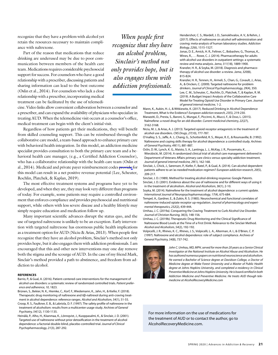recognize that they have a problem with alcohol yet retain the resources necessary to maintain compliance with naltrexone.

Part of the reason that medications that reduce drinking are underused may be due to poor communication between members of the health care team. Medications requires considerable psychosocial support for success. For counselors who have a good relationship with a prescriber, discussing patients and sharing information can lead to the best outcome (Oslin et al., 2014). For counselors who lack a close relationship with a prescriber, incorporating medical treatment can be facilitated by the use of telemedi-

cine. Video links allow convenient collaboration between a counselor and a prescriber, and can expand the availability of physicians who specialize in treating AUD. When the telemedicine visit occurs at a counselor's office, medical treatment can begin with the client's initial visit.

Regardless of how patients get their medications, they will benefit from skilled counseling support. This can be reimbursed through the collaborative care model, a team-based approach to enhance primary care with behavioral health integration. In this model, an addiction medicine specialist provides consultation to both the primary care team and a behavioral health care manager, (e.g., a Certified Addiction Counselor), who has a collaborative relationship with the health care team (Oslin et al., 2014). Medicaid and private payer reimbursement codes provide for this model can result in a net positive revenue potential (Lee, Scheuter, Rochlin, Platchek, & Kaplan, 2019).

The most effective treatment systems and programs have yet to be developed, and when they are, they may look very different than programs of today. For example, some patients may require a controlled environment that enforces compliance and provides psychosocial and nutritional support, while others with less severe disease and a healthy lifestyle may simply require education and medication follow up.

Many important scientific advances disrupt the status quo, and the use of targeted naltrexone is unlikely to be an exception. Early intervention with targeted naltrexone has enormous public health implications as a treatment option for AUD (Niciu & Arias, 2013). When people first recognize that they have an alcohol problem, Sinclair's method not only provides hope, but it also engages them with addiction professionals. I am encouraged that this and other new interventions may one day remove both the stigma and the scourge of AUD. In the case of my friend Mark, Sinclair's method provided a path to abstinence, and freedom from addiction to alcohol.

#### **REFERENCES**

Barrio, P., & Gual, A. (2016). Patient-centered care interventions for the management of alcohol use disorders: a systematic review of randomized controlled trials. *Patient preference and adherence, 10*, 1823.

Brünen, S., Bekier, N. K., Hiemke, C., Korf, F., Wiedemann, K., Jahn, H., & Kiefer, F. (2018). Therapeutic drug monitoring of naltrexone and 6β-naltrexol during anti-craving treatment in alcohol dependence: reference ranges. *Alcohol and Alcoholism, 54*(1), 51-55. Croop, R. S., Faulkner, E. B., & Labriola, D. F. (1997). The safety profile of naltrexone in the treatment of alcoholism: results from a multicenter usage study. *Archives of General Psychiatry, 54*(12), 1130-1135.

Heinälä, P., Alho, H., Kiianmaa, K., Lönnqvist, J., Kuoppasalmi, K., & Sinclair, J. D. (2001). Targeted use of naltrexone without prior detoxification in the treatment of alcohol dependence: a factorial double-blind, placebo-controlled trial. *Journal of Clinical Psychopharmacology, 21*(3), 287-292.

*When people first recognize that they have an alcohol problem, Sinclair's method not only provides hope, but it also engages them with addiction professionals.*

Hendershot, C. S., Wardell, J. D., Samokhvalov, A. V., & Rehm, J. (2017). Effects of naltrexone on alcohol self‐administration and craving: meta‐analysis of human laboratory studies. *Addiction Biology, 22*(6), 1515-1527.

Jonas, D. E., Amick, H. R., Feltner, C., Bobashev, G., Thomas, K., Wines, R., . . . Rowe, C. J. (2014). Pharmacotherapy for adults with alcohol use disorders in outpatient settings: a systematic review and meta-analysis. *Jama, 311*(18), 1889-1900. Kranzler, H. R., & Soyka, M. (2018). Diagnosis and pharmacotherapy of alcohol use disorder: a review. *Jama, 320*(8), 815-824.

Kranzler, H. R., Tennen, H., Armeli, S., Chan, G., Covault, J., Arias, A., & Oncken, C. (2009). Targeted naltrexone for problem drinkers. *Journal of Clinical Psychopharmacology, 29*(4), 350. Lee, C. M., Scheuter, C., Rochlin, D., Platchek, T., & Kaplan, R. M. (2019). A Budget Impact Analysis of the Collaborative Care Model for Treating Opioid Use Disorder in Primary Care. *Journal of general internal medicine*, 1-2.

Mann, K., Aubin, H.-J., & Witkiewitz, K. (2017). Reduced Drinking in Alcohol Dependence Treatment, What Is the Evidence? *European addiction research, 23*(5), 219-230.

Marazziti, D., Presta, S., Baroni, S., Mungai, F., Piccinni, A., Mucci, F., & Osso, L. (2015). Nalmefene: a novel drug for an old disorder. *Current medicinal chemistry, 22*(27), 3162-3168.

Niciu, M. J., & Arias, A. J. (2013). Targeted opioid receptor antagonists in the treatment of alcohol use disorders. *CNS Drugs, 27*(10), 777-787.

O'malley, S. S., Jaffe, A. J., Chang, G., Schottenfeld, R. S., Meyer, R. E., & Rounsaville, B. (1992). Naltrexone and coping skills therapy for alcohol dependence: a controlled study. *Archives of General Psychiatry, 49*(11), 881-887.

Oslin, D. W., Lynch, K. G., Maisto, S. A., Lantinga, L. J., McKay, J. R., Possemato, K., ... Wierzbicki, M. (2014). A randomized clinical trial of alcohol care management delivered in

Department of Veterans Affairs primary care clinics versus specialty addiction treatment. *Journal of general internal medicine, 29*(1), 162-168.

Sinclair, J., Chick, J., Sørensen, P., Kiefer, F., Batel, P., & Gual, A. (2014). Can alcohol dependent patients adhere to an 'as-needed'medication regimen? *European addiction research, 20*(5), 209-217.

Sinclair, J. D. (1989). Method for treating alcohol-drinking response: Google Patents. Sinclair, J. D. (2001). Evidence about the use of naltrexone and for different ways of using it in the treatment of alcoholism. *Alcohol and Alcoholism, 36*(1), 2-10.

Soyka, M. (2014). Nalmefene for the treatment of alcohol dependence: a current update. *International Journal of Neuropsychopharmacology, 17*(4), 675-684.

Tempel, A., Gardner, E., & Zukin, R. S. (1985). Neurochemical and functional correlates of naltrexone-induced opiate receptor up-regulation. *Journal of pharmacology and experimental therapeutics, 232*(2), 439-444.

Umhau, J. C. (2019a). Conquering the Craving: Treatment to Curb Alcohol Use Disorder. *Journal of Christian Nursing, 36*(3), 148-156.

Umhau, J. C. (2019b). Therapeutic Drug Monitoring and the Clinical Significance of Naltrexone Blood Levels at the Time of a First Drink: Relevance to the Sinclair Method. *Alcohol and Alcoholism, 54*(2), 192-192.

Volpicelli, J. R., Rhines, K. C., Rhines, J. S., Volpicelli, L. A., Alterman, A. I., & O'Brien, C. P. (1997). Naltrexone and alcohol dependence: role of subject compliance. *Archives of General Psychiatry, 54*(8), 737-742.



John C. Umhau, MD, MPH, served for more than 20 years as a Senior Clinical *Investigator at the National Institute on Alcohol Abuse and Alcoholism. He has authored numerous papers on nutritional neuroscience and alcoholism. He earned a Bachelor of Science degree at Davidson College, a Doctor of Medicine degree at Wake Forest University and a Master of Public Health degree at Johns Hopkins University, and completed a residency in Clinical Preventive Medicine at Johns Hopkins University. He is board certified in both Addiction Medicine and Preventive Medicine. He treats AUD though telemedicine at [AlcoholRecoveryMedicine.com](http://AlcoholRecoveryMedicine.com)*

For more information on the use of medications for the treatment of AUD or to contact the author, go to [AlcoholRecoveryMedicine.com](http://AlcoholRecoveryMedicine.com).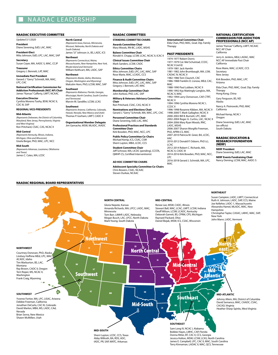# ■ NAADAC LEADERSHIP

**North Central**

*South Dakota)*

**Northeast**

**Northwest**

**Southeast**

*and Tennessee)*

**Southwest**

*(Represents Iowa, Kansas, Minnesota, Missouri, Nebraska, North Dakota and*

*(Represents Connecticut, Maine, Massachusetts, New Hampshire, New York, Rhode Island and Vermont)* William Keithcart, MA, LADC, SAP

*(Represents Alaska, Idaho, Montana, Oregon, Washington and Wyoming)* Malcolm Horn, PhD, LCSW, MAC, SAP

*(Represents Alabama, Florida, Georgia, Mississippi, North Carolina, South Carolina*

Marvin M. Sandifer, LCSW, LCAS

*(Represents Arizona, California, Colorado, Hawaii, Nevada, New Mexico and Utah)* Thomas P. Gorham, LMFT, CADC II **Organizational Member Delegate** Jim Gamache, MSW, MLADC, IAADC

James "JJ" Johnson Jr., BS, LADC, ICS

#### NAADAC EXECUTIVE COMMITTEE

*Updated 5/1/2020*

**President** Diane Sevening, EdD, LAC, MAC

**President-Elect** Mita Johnson, EdD, LPC, LAC, MAC, SAP

**Secretary** Susan Coyer, MA, AADC-S, MAC, CCJP

**Treasurer** Gregory J. Bennett, LAT, MAC

**Immediate Past President** Gerard J. "Gerry" Schmidt, MA, MAC, LPC, CAC

**National Certification Commission for Addiction Professionals (NCC AP) Chair** James "Kansas" Cafferty, LMFT, NCAAC **Executive Director**

Cynthia Moreno Tuohy, BSW, NCAC II, CDC III, SAP

**REGIONAL VICE-PRESIDENTS**

#### **Mid-Atlantic**

*(Represents Delaware, the District of Columbia, Maryland, New Jersey, Pennsylvania, Virginia and West Virginia)* Ron Pritchard, CSAC, CAS, NCAC II

**Mid-Central** *(Represents Kentucky, Illinois, Indiana, Michigan, Ohio and Wisconsin)* Gisela Berger, PhD, MAC, LPC, NCC

**Mid-South** *(Represents Arkansas, Louisiana, Oklahoma and Texas)* James C. Cates, MA, LCDC

#### NAADAC COMMITTEES

**STANDING COMMITTEE CHAIRS**

**Awards Committee Chair** Mary Woods, RN-BC, LADC, MSHS **Bylaws Committee Chair**

Ronald A. Chupp, LCSW, LCAC, NCAC II, ICAC II **Clinical Issues Committee Chair**

Mark Sanders, LCSW, CADC **Ethics Committee Chairs** Mita Johnson, EdD, LPC, LAC, MAC, SAP Rose Marie, MAC, LCADC, CCS

**Finance & Audit Committee Chairs** Mita Johnson, EdD, LPC, LAC, MAC, SAP Gregory J. Bennett, LAT, MAC

**Membership Committee Chair** John Korkow, PhD, LAC, SAP

**Military & Veterans Advisory Committee Chair**

Ron Pritchard, CSAC, CAS, NCAC II

**Nominations and Elections Chair** Gerard J. "Gerry" Schmidt, MA, MAC, LPC, CAC

**Personnel Committee Chair** Diane Sevening, EdD, LAC, MAC

**Professional Practices and Standards Committee Chair** Kirk Bowden, PhD, MAC, NCC, LPC

**Public Policy Committee Co-Chairs** Michael Kemp, ICS, CSAC, CSW Sherri Layton, MBA, LCDC, CCS

**Student Committee Chair** Jeff Schnoor, MA, LICDC (pending), CCSTA, QMHP-CS, Certified Interventionist

#### **AD HOC COMMITTEE CHAIRS**

**Adolescent Specialty Committee Co-Chairs** Chris Bowers, CSAC, NCAAC Steven Durkee, NCAAC

#### NATIONAL CERTIFICATION COMMISSION FOR ADDICTION PROFESSIONALS (NCC AP)

**International Committee Chair** Elda Chan, PhD, MAC, Grad. Dip. Family

1981-1982 John Brumbaugh, MA, LSW,

1992-1994 Larry Osmonson, CAP, CTRT,

1996-1998 Roxanne Kibben, MA, NCAC II 1998-2000 T. Mark Gallagher, NCAC II 2000-2002 Bill B. Burnett, LPC, MAC 2002-2004 Roger A. Curtiss, LAC, NCAC II 2004-2006 Mary Ryan Woods, RNC,

1994-1996 Cynthia Moreno NCAC I,

2006-2007 Sharon Morgillo Freeman,

2007-2010 Patricia M. Greer, BA, LCDC,

2010-2012 Donald P. Osborn, PhD (c),

2014-2016 Kirk Bowden, PhD, MAC, NCC,

2016-2018 Gerard J. Schmidt, MA, LPC,

2012-2014 Robert C. Richards, MA,

1988-1990 Paul Lubben, NCAC II 1990-1992 Kay Mattingly-Langlois, MA,

PAST PRESIDENTS 1974-1977 Robert Dorris 1977-1979 Col. Mel Schulstad, CCDC,

Therapy

NCAC II (ret'd) 1979-1981 Jack Hamlin

NCAC II, MAC

LADC, MSHS

AAC

LCAC

LPC

MAC

PhD, APRN-CS, MAC

NCAC II, CADC III

NCAC II

CCDC II

MAC

CADAC IV, NCAC II 1982-1986 Tom Claunch, CAC 1986-1988 Franklin D. Lisnow, MEd, CAC, James "Kansas" Cafferty, LMFT, NCAAC NCC AP Chair California

Jerry A. Jenkins, MEd, LADAC, MAC NCC AP Immediate Past Chair California

Rose Maire, MAC, LCADC, CCS Secretary New Jersey

Kirk Bowden, PhD, MAC, LPC Arizona

Elda Chan, PhD, MAC, Grad. Dip. Family Therapy Hong Kong, China

Gary Ferguson, BS, ND Alaska

Nancy A. Piotrowski, PhD, MAC California

Michael Kemp, NCAC I Oregon

Diane Sevening, EdD, LAC, MAC (ex-officio) South Dakota

#### NAADAC EDUCATION & RESEARCH FOUNDATION (NERF)

**NERF President** Diane Sevening, EdD, LAC, MAC

**NERF Events Fundraising Chair** Nancy Deming, LCSW, MAC, AADC-S